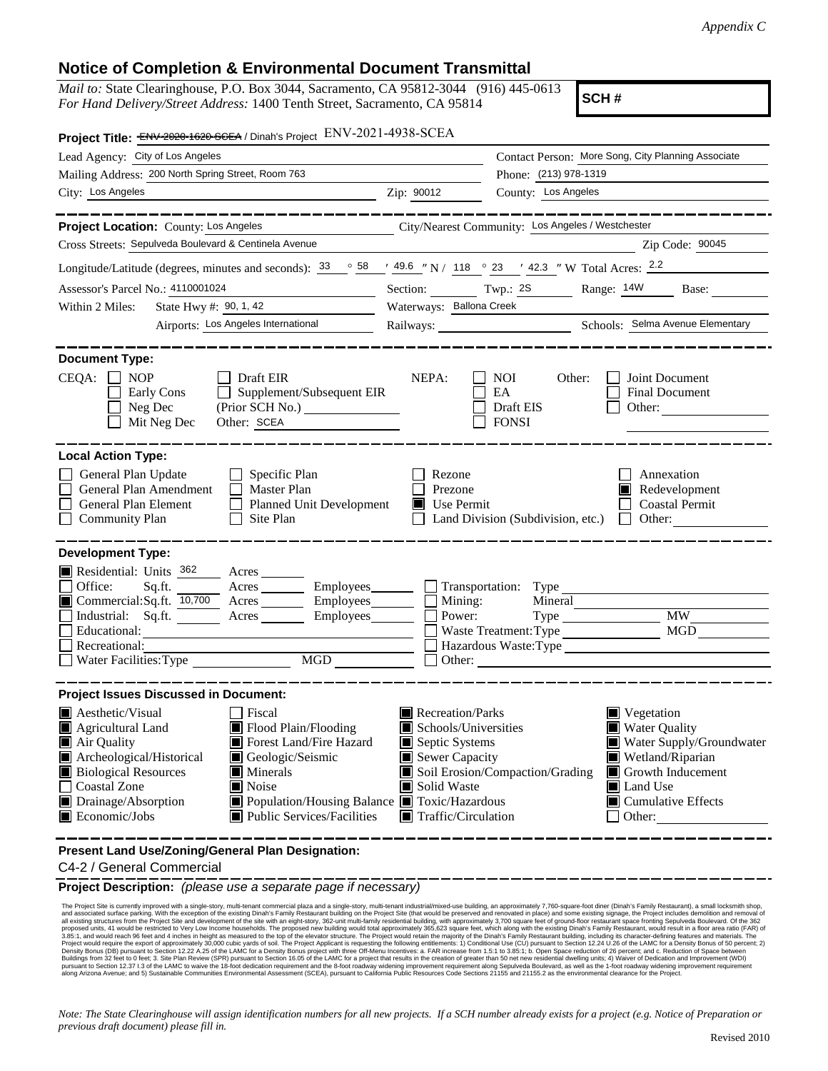## **Notice of Completion & Environmental Document Transmittal**

*Mail to:* State Clearinghouse, P.O. Box 3044, Sacramento, CA 95812-3044 (916) 445-0613 *For Hand Delivery/Street Address:* 1400 Tenth Street, Sacramento, CA 95814

**SCH #**

| Project Title: ENV-2020-1620-SCEA / Dinah's Project ENV-2021-4938-SCEA                                                                                                                                                                                                                                                                                                                                                                |                                                                                                                                   |                                                         |                                                                                                                                                              |  |  |
|---------------------------------------------------------------------------------------------------------------------------------------------------------------------------------------------------------------------------------------------------------------------------------------------------------------------------------------------------------------------------------------------------------------------------------------|-----------------------------------------------------------------------------------------------------------------------------------|---------------------------------------------------------|--------------------------------------------------------------------------------------------------------------------------------------------------------------|--|--|
| Lead Agency: City of Los Angeles                                                                                                                                                                                                                                                                                                                                                                                                      |                                                                                                                                   |                                                         | Contact Person: More Song, City Planning Associate                                                                                                           |  |  |
| Mailing Address: 200 North Spring Street, Room 763                                                                                                                                                                                                                                                                                                                                                                                    | Phone: (213) 978-1319                                                                                                             |                                                         |                                                                                                                                                              |  |  |
| City: Los Angeles<br>$\frac{1}{2}$ Zip: 90012                                                                                                                                                                                                                                                                                                                                                                                         |                                                                                                                                   | County: Los Angeles                                     |                                                                                                                                                              |  |  |
|                                                                                                                                                                                                                                                                                                                                                                                                                                       |                                                                                                                                   |                                                         |                                                                                                                                                              |  |  |
| Project Location: County: Los Angeles                                                                                                                                                                                                                                                                                                                                                                                                 |                                                                                                                                   | City/Nearest Community: Los Angeles / Westchester       |                                                                                                                                                              |  |  |
| Cross Streets: Sepulveda Boulevard & Centinela Avenue                                                                                                                                                                                                                                                                                                                                                                                 |                                                                                                                                   |                                                         | Zip Code: 90045                                                                                                                                              |  |  |
| Longitude/Latitude (degrees, minutes and seconds): $\frac{33}{58}$ $\frac{58}{49.6}$ $\frac{49.6}{118}$ $\frac{1}{23}$ $\frac{23}{42.3}$ $\frac{1}{23}$ W Total Acres: $\frac{2.2}{10}$                                                                                                                                                                                                                                               |                                                                                                                                   |                                                         |                                                                                                                                                              |  |  |
| Assessor's Parcel No.: 4110001024                                                                                                                                                                                                                                                                                                                                                                                                     | Section: Twp.: 2S Range: 14W Base:                                                                                                |                                                         |                                                                                                                                                              |  |  |
| State Hwy #: $90, 1, 42$<br>Within 2 Miles:                                                                                                                                                                                                                                                                                                                                                                                           | Waterways: Ballona Creek                                                                                                          |                                                         |                                                                                                                                                              |  |  |
| Airports: Los Angeles International                                                                                                                                                                                                                                                                                                                                                                                                   |                                                                                                                                   |                                                         | Railways: Schools: Selma Avenue Elementary                                                                                                                   |  |  |
| <b>Document Type:</b><br>CEQA:<br><b>NOP</b><br>Draft EIR<br>Supplement/Subsequent EIR<br>Early Cons<br>$\perp$<br>Neg Dec<br>Other: SCEA<br>Mit Neg Dec                                                                                                                                                                                                                                                                              | NEPA:                                                                                                                             | <b>NOI</b><br>Other:<br>EA<br>Draft EIS<br><b>FONSI</b> | Joint Document<br>Final Document<br>Other:                                                                                                                   |  |  |
| <b>Local Action Type:</b><br>General Plan Update<br>$\Box$ Specific Plan<br>General Plan Amendment<br>$\Box$ Master Plan<br>General Plan Element<br><b>Planned Unit Development</b><br>$\perp$<br>Site Plan<br><b>Community Plan</b>                                                                                                                                                                                                  | Rezone<br>Prezone<br>Use Permit                                                                                                   | Land Division (Subdivision, etc.)                       | Annexation<br>Redevelopment<br>Coastal Permit<br>Other:                                                                                                      |  |  |
| <b>Development Type:</b><br>Residential: Units 362<br>Acres<br>Office:<br>Acres Employees<br>Sq.ft.<br>Commercial:Sq.ft. 10,700 Acres<br>Employees________<br>Industrial: Sq.ft.<br>Employees_______<br>Educational:<br>Recreational:<br>MGD<br>Water Facilities: Type                                                                                                                                                                | $\Box$ Mining:<br>Power:                                                                                                          | $Type \_\_$                                             | <b>MW</b><br>MGD<br>Hazardous Waste:Type<br>Other:                                                                                                           |  |  |
| <b>Project Issues Discussed in Document:</b><br>Aesthetic/Visual<br>Fiscal<br>Agricultural Land<br>Flood Plain/Flooding<br>Forest Land/Fire Hazard<br>Air Quality<br>Archeological/Historical<br>Geologic/Seismic<br><b>Biological Resources</b><br>Minerals<br><b>Coastal Zone</b><br>$\blacksquare$ Noise<br>■ Population/Housing Balance ■ Toxic/Hazardous<br>Drainage/Absorption<br>Economic/Jobs<br>■ Public Services/Facilities | Recreation/Parks<br>Schools/Universities<br>Septic Systems<br>Sewer Capacity<br>Solid Waste<br>$\blacksquare$ Traffic/Circulation | Soil Erosion/Compaction/Grading                         | ■ Vegetation<br><b>Water Quality</b><br>Water Supply/Groundwater<br>Wetland/Riparian<br>Growth Inducement<br>Land Use<br>$\Box$ Cumulative Effects<br>Other: |  |  |
| Present Land Use/Zoning/General Plan Designation:                                                                                                                                                                                                                                                                                                                                                                                     |                                                                                                                                   |                                                         |                                                                                                                                                              |  |  |

C4-2 / General Commercial

**Project Description:** *(please use a separate page if necessary)*

The Project Stile is currently improved with a single-story, multi-enant commercial plaza and a single-story, and provement inpulsitig, and pproximately 7,760-square foot dine Project Stile and levelsmanny. The Project Sti

*Note: The State Clearinghouse will assign identification numbers for all new projects. If a SCH number already exists for a project (e.g. Notice of Preparation or previous draft document) please fill in.*